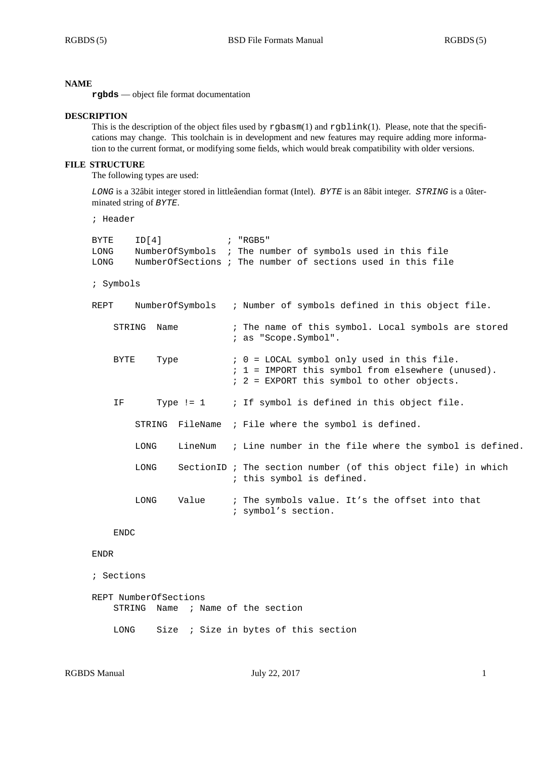#### **NAME**

**rgbds** — object file format documentation

#### **DESCRIPTION**

This is the description of the object files used by rgbasm(1) and rgblink(1). Please, note that the specifications may change. This toolchain is in development and new features may require adding more information to the current format, or modifying some fields, which would break compatibility with older versions.

## **FILE STRUCTURE**

The following types are used:

*LONG* is a 32âbit integer stored in littleâendian format (Intel). *BYTE* is an 8âbit integer. *STRING* is a 0âterminated string of *BYTE*.

```
; Header
```

| ID[4]<br>BYTE<br>LONG<br>LONG |      | NumberOfSymbols ; The number of symbols used in this file<br>NumberOfSections ; The number of sections used in this file                      |                                                                                            |
|-------------------------------|------|-----------------------------------------------------------------------------------------------------------------------------------------------|--------------------------------------------------------------------------------------------|
| ; Symbols                     |      |                                                                                                                                               |                                                                                            |
| NumberOfSymbols<br>REPT       |      |                                                                                                                                               | ; Number of symbols defined in this object file.                                           |
| Name<br>STRING                |      | ; The name of this symbol. Local symbols are stored<br>; as "Scope.Symbol".                                                                   |                                                                                            |
| BYTE<br>Type                  |      | ; 0 = LOCAL symbol only used in this file.<br>; 1 = IMPORT this symbol from elsewhere (unused).<br>; 2 = EXPORT this symbol to other objects. |                                                                                            |
| IF.                           |      |                                                                                                                                               | Type != $1$ ; If symbol is defined in this object file.                                    |
|                               |      |                                                                                                                                               | STRING FileName ; File where the symbol is defined.                                        |
|                               | LONG |                                                                                                                                               | LineNum ; Line number in the file where the symbol is defined.                             |
|                               | LONG |                                                                                                                                               | SectionID ; The section number (of this object file) in which<br>; this symbol is defined. |
|                               | LONG | Value                                                                                                                                         | ; The symbols value. It's the offset into that<br>; symbol's section.                      |

# ENDC

#### ENDR

```
; Sections
```

```
REPT NumberOfSections
STRING Name ; Name of the section
LONG Size ; Size in bytes of this section
```

```
RGBDS Manual July 22, 2017 1
```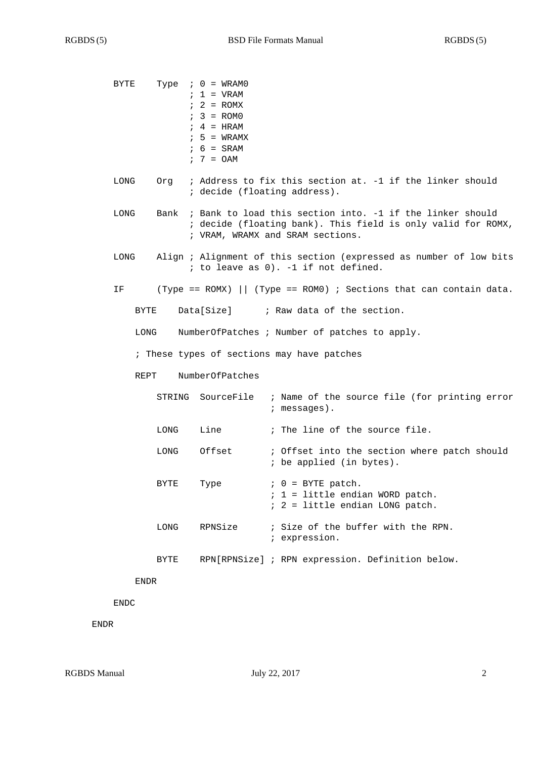| BYTE                                       |             | Type $: 0 = WRAM0$<br>$: 1 = VRAM$<br>$: 2 = ROMX$<br>$: 3 = ROMO$<br>$: 4 = HRAM$<br>$: 5 = WRAMX$<br>$6 = SRAM$<br>$7 = 0AM$                                |                                                                                                            |  |  |  |  |
|--------------------------------------------|-------------|---------------------------------------------------------------------------------------------------------------------------------------------------------------|------------------------------------------------------------------------------------------------------------|--|--|--|--|
| LONG                                       | Orq         | ; Address to fix this section at. -1 if the linker should<br>; decide (floating address).                                                                     |                                                                                                            |  |  |  |  |
| LONG                                       | Bank        | ; Bank to load this section into. -1 if the linker should<br>; decide (floating bank). This field is only valid for ROMX,<br>; VRAM, WRAMX and SRAM sections. |                                                                                                            |  |  |  |  |
| LONG                                       |             |                                                                                                                                                               | Align ; Alignment of this section (expressed as number of low bits<br>; to leave as 0). -1 if not defined. |  |  |  |  |
| ΙF                                         |             |                                                                                                                                                               | (Type == ROMX) $\vert$ (Type == ROM0) ; Sections that can contain data.                                    |  |  |  |  |
| BYTE                                       |             | Data[Size]                                                                                                                                                    | ; Raw data of the section.                                                                                 |  |  |  |  |
| LONG                                       |             |                                                                                                                                                               | NumberOfPatches ; Number of patches to apply.                                                              |  |  |  |  |
| ; These types of sections may have patches |             |                                                                                                                                                               |                                                                                                            |  |  |  |  |
| NumberOfPatches<br>REPT                    |             |                                                                                                                                                               |                                                                                                            |  |  |  |  |
|                                            | STRING      | SourceFile                                                                                                                                                    | ; Name of the source file (for printing error<br>$:$ messages).                                            |  |  |  |  |
|                                            | <b>LONG</b> | Line                                                                                                                                                          | ; The line of the source file.                                                                             |  |  |  |  |
|                                            | <b>LONG</b> | Offset                                                                                                                                                        | ; Offset into the section where patch should<br>; be applied (in bytes).                                   |  |  |  |  |
|                                            | BYTE        | Type                                                                                                                                                          | $0 = BYTE$ patch.<br>$: 1 =$ little endian WORD patch.<br>; 2 = little endian LONG patch.                  |  |  |  |  |
|                                            | LONG        | RPNSize                                                                                                                                                       | ; Size of the buffer with the RPN.<br>; expression.                                                        |  |  |  |  |
|                                            | BYTE        |                                                                                                                                                               | RPN[RPNSize] ; RPN expression. Definition below.                                                           |  |  |  |  |
| ENDR                                       |             |                                                                                                                                                               |                                                                                                            |  |  |  |  |

ENDC

ENDR

RGBDS Manual July 22, 2017